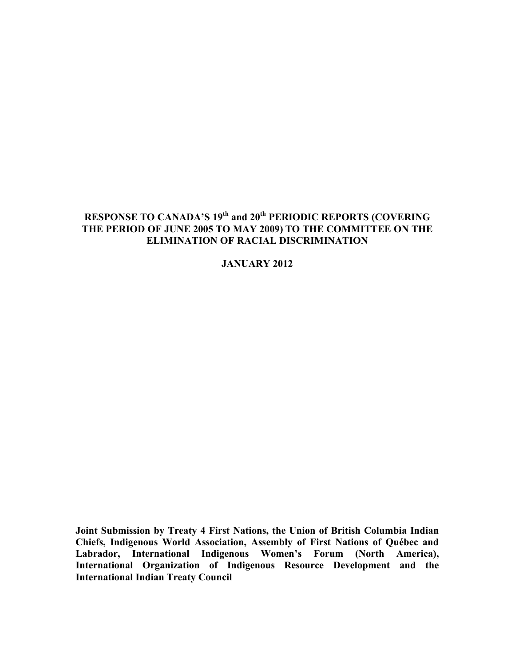## RESPONSE TO CANADA'S 19<sup>th</sup> and 20<sup>th</sup> PERIODIC REPORTS (COVERING **THE PERIOD OF JUNE 2005 TO MAY 2009) TO THE COMMITTEE ON THE ELIMINATION OF RACIAL DISCRIMINATION**

**JANUARY 2012**

**Joint Submission by Treaty 4 First Nations, the Union of British Columbia Indian Chiefs, Indigenous World Association, Assembly of First Nations of Québec and Labrador, International Indigenous Women's Forum (North America), International Organization of Indigenous Resource Development and the International Indian Treaty Council**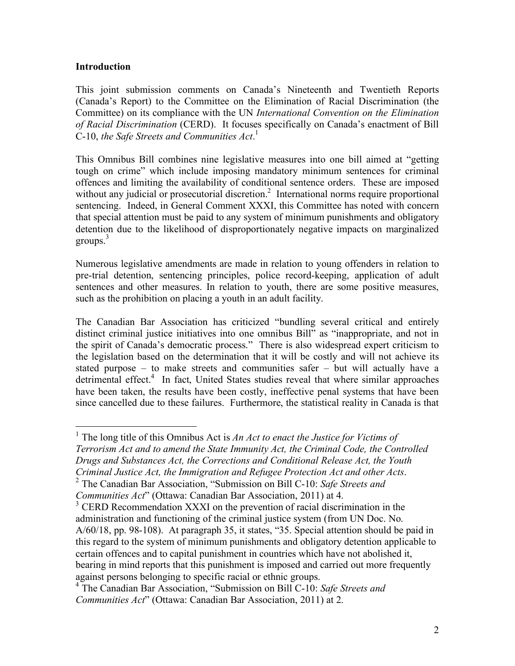## **Introduction**

This joint submission comments on Canada's Nineteenth and Twentieth Reports (Canada's Report) to the Committee on the Elimination of Racial Discrimination (the Committee) on its compliance with the UN *International Convention on the Elimination of Racial Discrimination* (CERD). It focuses specifically on Canada's enactment of Bill C-10, *the Safe Streets and Communities Act*. 1

This Omnibus Bill combines nine legislative measures into one bill aimed at "getting tough on crime" which include imposing mandatory minimum sentences for criminal offences and limiting the availability of conditional sentence orders. These are imposed without any judicial or prosecutorial discretion.<sup>2</sup> International norms require proportional sentencing. Indeed, in General Comment XXXI, this Committee has noted with concern that special attention must be paid to any system of minimum punishments and obligatory detention due to the likelihood of disproportionately negative impacts on marginalized groups. $3$ 

Numerous legislative amendments are made in relation to young offenders in relation to pre-trial detention, sentencing principles, police record-keeping, application of adult sentences and other measures. In relation to youth, there are some positive measures, such as the prohibition on placing a youth in an adult facility.

The Canadian Bar Association has criticized "bundling several critical and entirely distinct criminal justice initiatives into one omnibus Bill" as "inappropriate, and not in the spirit of Canada's democratic process." There is also widespread expert criticism to the legislation based on the determination that it will be costly and will not achieve its stated purpose – to make streets and communities safer – but will actually have a detrimental effect.<sup>4</sup> In fact, United States studies reveal that where similar approaches have been taken, the results have been costly, ineffective penal systems that have been since cancelled due to these failures. Furthermore, the statistical reality in Canada is that

<sup>1</sup> The long title of this Omnibus Act is *An Act to enact the Justice for Victims of Terrorism Act and to amend the State Immunity Act, the Criminal Code, the Controlled Drugs and Substances Act, the Corrections and Conditional Release Act, the Youth Criminal Justice Act, the Immigration and Refugee Protection Act and other Acts*. <sup>2</sup>

*Communities Act*" (Ottawa: Canadian Bar Association, 2011) at 4.

The Canadian Bar Association, "Submission on Bill C-10: *Safe Streets and* 

<sup>&</sup>lt;sup>3</sup> CERD Recommendation XXXI on the prevention of racial discrimination in the administration and functioning of the criminal justice system (from UN Doc. No. A/60/18, pp. 98-108). At paragraph 35, it states, "35. Special attention should be paid in this regard to the system of minimum punishments and obligatory detention applicable to certain offences and to capital punishment in countries which have not abolished it, bearing in mind reports that this punishment is imposed and carried out more frequently against persons belonging to specific racial or ethnic groups.

<sup>4</sup> The Canadian Bar Association, "Submission on Bill C-10: *Safe Streets and Communities Act*" (Ottawa: Canadian Bar Association, 2011) at 2.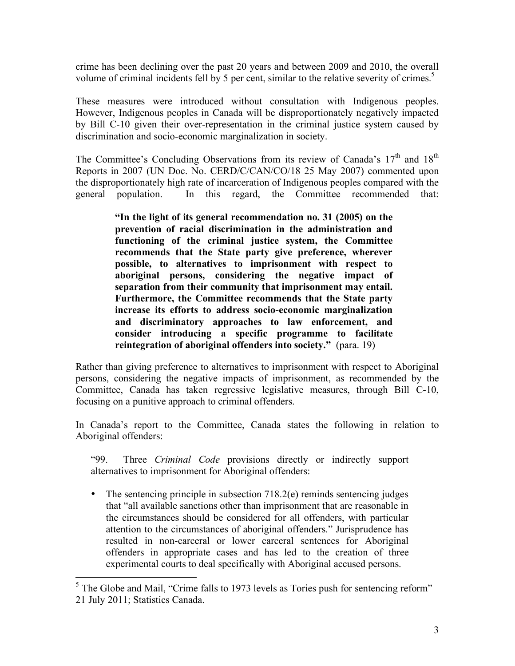crime has been declining over the past 20 years and between 2009 and 2010, the overall volume of criminal incidents fell by 5 per cent, similar to the relative severity of crimes.<sup>5</sup>

These measures were introduced without consultation with Indigenous peoples. However, Indigenous peoples in Canada will be disproportionately negatively impacted by Bill C-10 given their over-representation in the criminal justice system caused by discrimination and socio-economic marginalization in society.

The Committee's Concluding Observations from its review of Canada's  $17<sup>th</sup>$  and  $18<sup>th</sup>$ Reports in 2007 (UN Doc. No. CERD/C/CAN/CO/18 25 May 2007) commented upon the disproportionately high rate of incarceration of Indigenous peoples compared with the general population. In this regard, the Committee recommended that:

> **"In the light of its general recommendation no. 31 (2005) on the prevention of racial discrimination in the administration and functioning of the criminal justice system, the Committee recommends that the State party give preference, wherever possible, to alternatives to imprisonment with respect to aboriginal persons, considering the negative impact of separation from their community that imprisonment may entail. Furthermore, the Committee recommends that the State party increase its efforts to address socio-economic marginalization and discriminatory approaches to law enforcement, and consider introducing a specific programme to facilitate reintegration of aboriginal offenders into society."** (para. 19)

Rather than giving preference to alternatives to imprisonment with respect to Aboriginal persons, considering the negative impacts of imprisonment, as recommended by the Committee, Canada has taken regressive legislative measures, through Bill C-10, focusing on a punitive approach to criminal offenders.

In Canada's report to the Committee, Canada states the following in relation to Aboriginal offenders:

"99. Three *Criminal Code* provisions directly or indirectly support alternatives to imprisonment for Aboriginal offenders:

• The sentencing principle in subsection 718.2(e) reminds sentencing judges that "all available sanctions other than imprisonment that are reasonable in the circumstances should be considered for all offenders, with particular attention to the circumstances of aboriginal offenders." Jurisprudence has resulted in non-carceral or lower carceral sentences for Aboriginal offenders in appropriate cases and has led to the creation of three experimental courts to deal specifically with Aboriginal accused persons.

<sup>&</sup>lt;sup>5</sup> The Globe and Mail, "Crime falls to 1973 levels as Tories push for sentencing reform" 21 July 2011; Statistics Canada.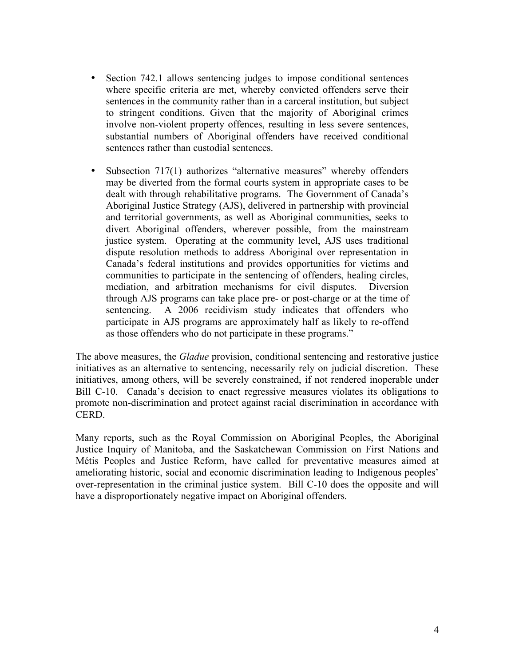- Section 742.1 allows sentencing judges to impose conditional sentences where specific criteria are met, whereby convicted offenders serve their sentences in the community rather than in a carceral institution, but subject to stringent conditions. Given that the majority of Aboriginal crimes involve non-violent property offences, resulting in less severe sentences, substantial numbers of Aboriginal offenders have received conditional sentences rather than custodial sentences.
- Subsection 717(1) authorizes "alternative measures" whereby offenders may be diverted from the formal courts system in appropriate cases to be dealt with through rehabilitative programs. The Government of Canada's Aboriginal Justice Strategy (AJS), delivered in partnership with provincial and territorial governments, as well as Aboriginal communities, seeks to divert Aboriginal offenders, wherever possible, from the mainstream justice system. Operating at the community level, AJS uses traditional dispute resolution methods to address Aboriginal over representation in Canada's federal institutions and provides opportunities for victims and communities to participate in the sentencing of offenders, healing circles, mediation, and arbitration mechanisms for civil disputes. Diversion through AJS programs can take place pre- or post-charge or at the time of sentencing. A 2006 recidivism study indicates that offenders who participate in AJS programs are approximately half as likely to re-offend as those offenders who do not participate in these programs."

The above measures, the *Gladue* provision, conditional sentencing and restorative justice initiatives as an alternative to sentencing, necessarily rely on judicial discretion. These initiatives, among others, will be severely constrained, if not rendered inoperable under Bill C-10. Canada's decision to enact regressive measures violates its obligations to promote non-discrimination and protect against racial discrimination in accordance with CERD.

Many reports, such as the Royal Commission on Aboriginal Peoples, the Aboriginal Justice Inquiry of Manitoba, and the Saskatchewan Commission on First Nations and Métis Peoples and Justice Reform, have called for preventative measures aimed at ameliorating historic, social and economic discrimination leading to Indigenous peoples' over-representation in the criminal justice system. Bill C-10 does the opposite and will have a disproportionately negative impact on Aboriginal offenders.